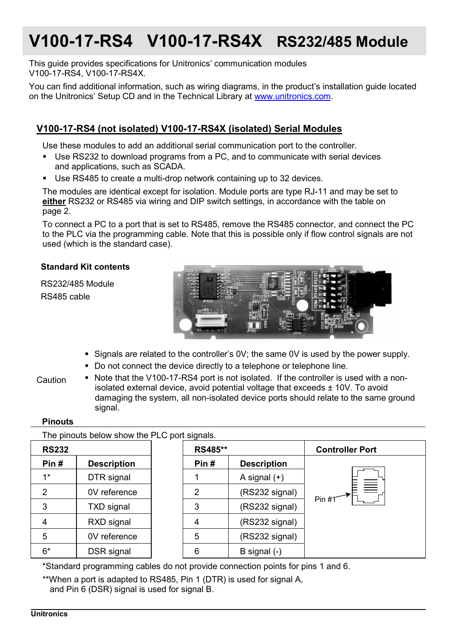# **V100-17-RS4 V100-17-RS4X RS232/485 Module**

This guide provides specifications for Unitronics' communication modules V100-17-RS4, V100-17-RS4X.

You can find additional information, such as wiring diagrams, in the product's installation guide located on the Unitronics' Setup CD and in the Technical Library at www.unitronics.com.

### **V100-17-RS4 (not isolated) V100-17-RS4X (isolated) Serial Modules**

Use these modules to add an additional serial communication port to the controller.

- Use RS232 to download programs from a PC, and to communicate with serial devices and applications, such as SCADA.
- Use RS485 to create a multi-drop network containing up to 32 devices.

The modules are identical except for isolation. Module ports are type RJ-11 and may be set to **either** RS232 or RS485 via wiring and DIP switch settings, in accordance with the table on page 2.

To connect a PC to a port that is set to RS485, remove the RS485 connector, and connect the PC to the PLC via the programming cable. Note that this is possible only if flow control signals are not used (which is the standard case).

#### **Standard Kit contents**

RS232/485 Module RS485 cable



- Signals are related to the controller's  $0V$ ; the same  $0V$  is used by the power supply.
- Do not connect the device directly to a telephone or telephone line.

Caution

 Note that the V100-17-RS4 port is not isolated. If the controller is used with a nonisolated external device, avoid potential voltage that exceeds  $\pm$  10V. To avoid damaging the system, all non-isolated device ports should relate to the same ground signal.

#### **Pinouts**

The pinouts below show the PLC port signals.

| <b>RS232</b>   |                    | RS485** |                    | <b>Controller Port</b> |  |  |
|----------------|--------------------|---------|--------------------|------------------------|--|--|
| Pin#           | <b>Description</b> | Pin#    | <b>Description</b> |                        |  |  |
| $1*$           | DTR signal         |         | A signal $(+)$     |                        |  |  |
| $\overline{2}$ | 0V reference       | 2       | (RS232 signal)     | $\equiv$<br>Pin #1     |  |  |
| 3              | <b>TXD</b> signal  | 3       | (RS232 signal)     |                        |  |  |
| 4              | RXD signal         | 4       | (RS232 signal)     |                        |  |  |
| 5              | 0V reference       | 5       | (RS232 signal)     |                        |  |  |
| $6*$           | DSR signal         | 6       | B signal (-)       |                        |  |  |

\*Standard programming cables do not provide connection points for pins 1 and 6.

\*\*When a port is adapted to RS485, Pin 1 (DTR) is used for signal A, and Pin 6 (DSR) signal is used for signal B.